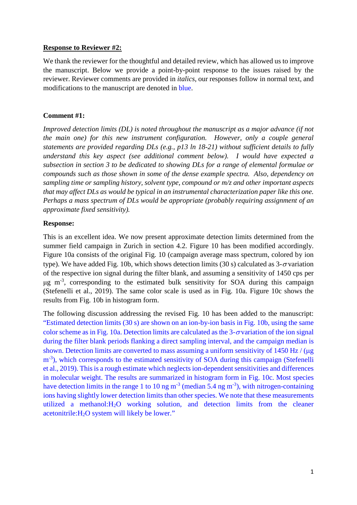#### **Response to Reviewer #2:**

We thank the reviewer for the thoughtful and detailed review, which has allowed us to improve the manuscript. Below we provide a point-by-point response to the issues raised by the reviewer. Reviewer comments are provided in *italics*, our responses follow in normal text, and modifications to the manuscript are denoted in blue.

#### **Comment #1:**

*Improved detection limits (DL) is noted throughout the manuscript as a major advance (if not the main one) for this new instrument configuration. However, only a couple general statements are provided regarding DLs (e.g., p13 ln 18-21) without sufficient details to fully understand this key aspect (see additional comment below). I would have expected a subsection in section 3 to be dedicated to showing DLs for a range of elemental formulae or compounds such as those shown in some of the dense example spectra. Also, dependency on sampling time or sampling history, solvent type, compound or m/z and other important aspects that may affect DLs as would be typical in an instrumental characterization paper like this one. Perhaps a mass spectrum of DLs would be appropriate (probably requiring assignment of an approximate fixed sensitivity).*

#### **Response:**

This is an excellent idea. We now present approximate detection limits determined from the summer field campaign in Zurich in section 4.2. Figure 10 has been modified accordingly. Figure 10a consists of the original Fig. 10 (campaign average mass spectrum, colored by ion type). We have added Fig. 10b, which shows detection limits (30 s) calculated as  $3-\sigma$  variation of the respective ion signal during the filter blank, and assuming a sensitivity of 1450 cps per μg m-3 , corresponding to the estimated bulk sensitivity for SOA during this campaign (Stefenelli et al., 2019). The same color scale is used as in Fig. 10a. Figure 10c shows the results from Fig. 10b in histogram form.

The following discussion addressing the revised Fig. 10 has been added to the manuscript: "Estimated detection limits (30 s) are shown on an ion-by-ion basis in Fig. 10b, using the same color scheme as in Fig. 10a. Detection limits are calculated as the  $3-\sigma$  variation of the ion signal during the filter blank periods flanking a direct sampling interval, and the campaign median is shown. Detection limits are converted to mass assuming a uniform sensitivity of  $1450$  Hz / ( $\mu$ g m<sup>-3</sup>), which corresponds to the estimated sensitivity of SOA during this campaign (Stefenelli et al., 2019). This is a rough estimate which neglects ion-dependent sensitivities and differences in molecular weight. The results are summarized in histogram form in Fig. 10c. Most species have detection limits in the range 1 to 10 ng  $m^{-3}$  (median 5.4 ng  $m^{-3}$ ), with nitrogen-containing ions having slightly lower detection limits than other species. We note that these measurements utilized a methanol:H2O working solution, and detection limits from the cleaner acetonitrile:H2O system will likely be lower."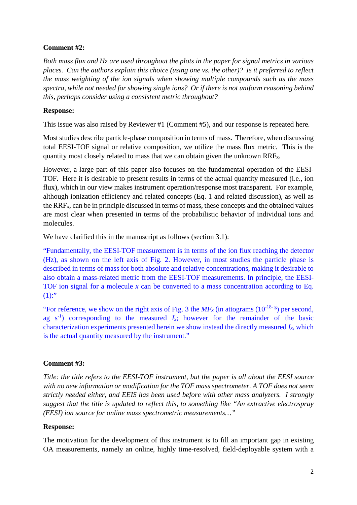# **Comment #2:**

*Both mass flux and Hz are used throughout the plots in the paper for signal metrics in various places. Can the authors explain this choice (using one vs. the other)? Is it preferred to reflect the mass weighting of the ion signals when showing multiple compounds such as the mass spectra, while not needed for showing single ions? Or if there is not uniform reasoning behind this, perhaps consider using a consistent metric throughout?*

# **Response:**

This issue was also raised by Reviewer #1 (Comment #5), and our response is repeated here.

Most studies describe particle-phase composition in terms of mass. Therefore, when discussing total EESI-TOF signal or relative composition, we utilize the mass flux metric. This is the quantity most closely related to mass that we can obtain given the unknown  $RRF<sub>x</sub>$ .

However, a large part of this paper also focuses on the fundamental operation of the EESI-TOF. Here it is desirable to present results in terms of the actual quantity measured (i.e., ion flux), which in our view makes instrument operation/response most transparent. For example, although ionization efficiency and related concepts (Eq. 1 and related discussion), as well as the RRFx, can be in principle discussed in terms of mass, these concepts and the obtained values are most clear when presented in terms of the probabilistic behavior of individual ions and molecules.

We have clarified this in the manuscript as follows (section 3.1):

"Fundamentally, the EESI-TOF measurement is in terms of the ion flux reaching the detector (Hz), as shown on the left axis of Fig. 2. However, in most studies the particle phase is described in terms of mass for both absolute and relative concentrations, making it desirable to also obtain a mass-related metric from the EESI-TOF measurements. In principle, the EESI-TOF ion signal for a molecule *x* can be converted to a mass concentration according to Eq.  $(1)$ :"

"For reference, we show on the right axis of Fig. 3 the  $MF_x$  (in attograms  $(10^{-18}$ <sup>e</sup>) per second, ag  $s^{-1}$ ) corresponding to the measured  $I_x$ ; however for the remainder of the basic characterization experiments presented herein we show instead the directly measured *Ix*, which is the actual quantity measured by the instrument."

# **Comment #3:**

*Title: the title refers to the EESI-TOF instrument, but the paper is all about the EESI source with no new information or modification for the TOF mass spectrometer. A TOF does not seem strictly needed either, and EEIS has been used before with other mass analyzers. I strongly suggest that the title is updated to reflect this, to something like "An extractive electrospray (EESI) ion source for online mass spectrometric measurements…"*

## **Response:**

The motivation for the development of this instrument is to fill an important gap in existing OA measurements, namely an online, highly time-resolved, field-deployable system with a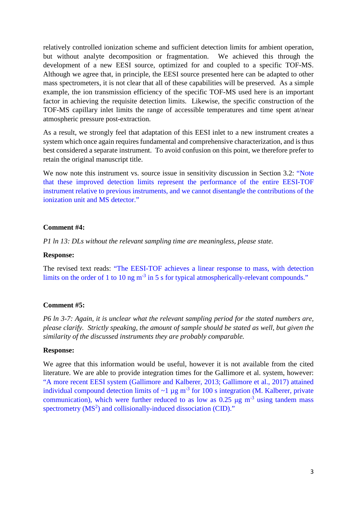relatively controlled ionization scheme and sufficient detection limits for ambient operation, but without analyte decomposition or fragmentation. We achieved this through the development of a new EESI source, optimized for and coupled to a specific TOF-MS. Although we agree that, in principle, the EESI source presented here can be adapted to other mass spectrometers, it is not clear that all of these capabilities will be preserved. As a simple example, the ion transmission efficiency of the specific TOF-MS used here is an important factor in achieving the requisite detection limits. Likewise, the specific construction of the TOF-MS capillary inlet limits the range of accessible temperatures and time spent at/near atmospheric pressure post-extraction.

As a result, we strongly feel that adaptation of this EESI inlet to a new instrument creates a system which once again requires fundamental and comprehensive characterization, and is thus best considered a separate instrument. To avoid confusion on this point, we therefore prefer to retain the original manuscript title.

We now note this instrument vs. source issue in sensitivity discussion in Section 3.2: "Note that these improved detection limits represent the performance of the entire EESI-TOF instrument relative to previous instruments, and we cannot disentangle the contributions of the ionization unit and MS detector."

#### **Comment #4:**

*P1 ln 13: DLs without the relevant sampling time are meaningless, please state.*

#### **Response:**

The revised text reads: "The EESI-TOF achieves a linear response to mass, with detection limits on the order of 1 to 10 ng  $m<sup>-3</sup>$  in 5 s for typical atmospherically-relevant compounds."

#### **Comment #5:**

*P6 ln 3-7: Again, it is unclear what the relevant sampling period for the stated numbers are, please clarify. Strictly speaking, the amount of sample should be stated as well, but given the similarity of the discussed instruments they are probably comparable.*

#### **Response:**

We agree that this information would be useful, however it is not available from the cited literature. We are able to provide integration times for the Gallimore et al. system, however: "A more recent EESI system (Gallimore and Kalberer, 2013; Gallimore et al., 2017) attained individual compound detection limits of  $\sim$ 1 µg m<sup>-3</sup> for 100 s integration (M. Kalberer, private communication), which were further reduced to as low as  $0.25 \mu g$  m<sup>-3</sup> using tandem mass spectrometry (MS<sup>2</sup>) and collisionally-induced dissociation (CID)."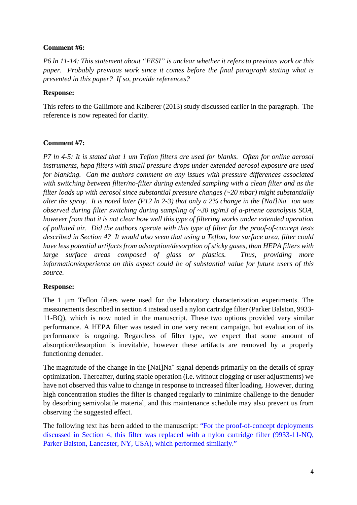# **Comment #6:**

*P6 ln 11-14: This statement about "EESI" is unclear whether it refers to previous work or this paper. Probably previous work since it comes before the final paragraph stating what is presented in this paper? If so, provide references?*

# **Response:**

This refers to the Gallimore and Kalberer (2013) study discussed earlier in the paragraph. The reference is now repeated for clarity.

# **Comment #7:**

*P7 ln 4-5: It is stated that 1 um Teflon filters are used for blanks. Often for online aerosol instruments, hepa filters with small pressure drops under extended aerosol exposure are used for blanking. Can the authors comment on any issues with pressure differences associated with switching between filter/no-filter during extended sampling with a clean filter and as the filter loads up with aerosol since substantial pressure changes (~20 mbar) might substantially alter the spray. It is noted later (P12 ln 2-3) that only a 2% change in the [NaI]Na+ ion was observed during filter switching during sampling of ~30 ug/m3 of a-pinene ozonolysis SOA, however from that it is not clear how well this type of filtering works under extended operation of polluted air. Did the authors operate with this type of filter for the proof-of-concept tests described in Section 4? It would also seem that using a Teflon, low surface area, filter could have less potential artifacts from adsorption/desorption of sticky gases, than HEPA filters with*  large surface areas composed of glass or plastics. Thus, providing more *information/experience on this aspect could be of substantial value for future users of this source.*

# **Response:**

The 1 µm Teflon filters were used for the laboratory characterization experiments. The measurements described in section 4 instead used a nylon cartridge filter (Parker Balston, 9933- 11-BQ), which is now noted in the manuscript. These two options provided very similar performance. A HEPA filter was tested in one very recent campaign, but evaluation of its performance is ongoing. Regardless of filter type, we expect that some amount of absorption/desorption is inevitable, however these artifacts are removed by a properly functioning denuder.

The magnitude of the change in the  $[NaI]Na<sup>+</sup>$  signal depends primarily on the details of spray optimization. Thereafter, during stable operation (i.e. without clogging or user adjustments) we have not observed this value to change in response to increased filter loading. However, during high concentration studies the filter is changed regularly to minimize challenge to the denuder by desorbing semivolatile material, and this maintenance schedule may also prevent us from observing the suggested effect.

The following text has been added to the manuscript: "For the proof-of-concept deployments discussed in Section 4, this filter was replaced with a nylon cartridge filter (9933-11-NQ, Parker Balston, Lancaster, NY, USA), which performed similarly."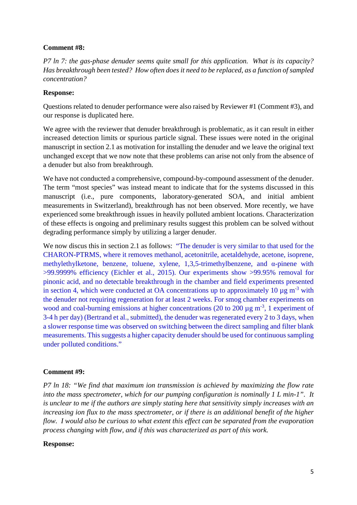## **Comment #8:**

*P7 ln 7: the gas-phase denuder seems quite small for this application. What is its capacity? Has breakthrough been tested? How often does it need to be replaced, as a function of sampled concentration?*

# **Response:**

Questions related to denuder performance were also raised by Reviewer #1 (Comment #3), and our response is duplicated here.

We agree with the reviewer that denuder breakthrough is problematic, as it can result in either increased detection limits or spurious particle signal. These issues were noted in the original manuscript in section 2.1 as motivation for installing the denuder and we leave the original text unchanged except that we now note that these problems can arise not only from the absence of a denuder but also from breakthrough.

We have not conducted a comprehensive, compound-by-compound assessment of the denuder. The term "most species" was instead meant to indicate that for the systems discussed in this manuscript (i.e., pure components, laboratory-generated SOA, and initial ambient measurements in Switzerland), breakthrough has not been observed. More recently, we have experienced some breakthrough issues in heavily polluted ambient locations. Characterization of these effects is ongoing and preliminary results suggest this problem can be solved without degrading performance simply by utilizing a larger denuder.

We now discus this in section 2.1 as follows: "The denuder is very similar to that used for the CHARON-PTRMS, where it removes methanol, acetonitrile, acetaldehyde, acetone, isoprene, methylethylketone, benzene, toluene, xylene, 1,3,5-trimethylbenzene, and α-pinene with >99.9999% efficiency (Eichler et al., 2015). Our experiments show >99.95% removal for pinonic acid, and no detectable breakthrough in the chamber and field experiments presented in section 4, which were conducted at OA concentrations up to approximately 10  $\mu$ g m<sup>-3</sup> with the denuder not requiring regeneration for at least 2 weeks. For smog chamber experiments on wood and coal-burning emissions at higher concentrations (20 to 200  $\mu$ g m<sup>-3</sup>, 1 experiment of 3-4 h per day) (Bertrand et al., submitted), the denuder was regenerated every 2 to 3 days, when a slower response time was observed on switching between the direct sampling and filter blank measurements. This suggests a higher capacity denuder should be used for continuous sampling under polluted conditions."

# **Comment #9:**

*P7 ln 18: "We find that maximum ion transmission is achieved by maximizing the flow rate into the mass spectrometer, which for our pumping configuration is nominally 1 L min-1". It is unclear to me if the authors are simply stating here that sensitivity simply increases with an increasing ion flux to the mass spectrometer, or if there is an additional benefit of the higher flow. I would also be curious to what extent this effect can be separated from the evaporation process changing with flow, and if this was characterized as part of this work.*

## **Response:**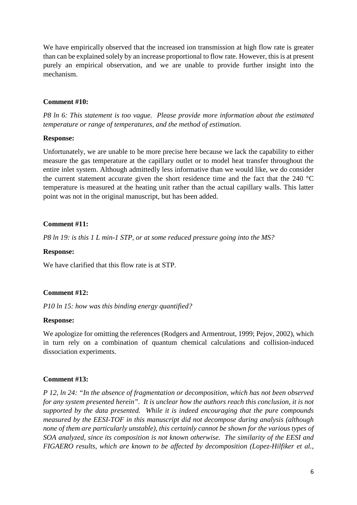We have empirically observed that the increased ion transmission at high flow rate is greater than can be explained solely by an increase proportional to flow rate. However, this is at present purely an empirical observation, and we are unable to provide further insight into the mechanism.

#### **Comment #10:**

*P8 ln 6: This statement is too vague. Please provide more information about the estimated temperature or range of temperatures, and the method of estimation.*

#### **Response:**

Unfortunately, we are unable to be more precise here because we lack the capability to either measure the gas temperature at the capillary outlet or to model heat transfer throughout the entire inlet system. Although admittedly less informative than we would like, we do consider the current statement accurate given the short residence time and the fact that the 240 °C temperature is measured at the heating unit rather than the actual capillary walls. This latter point was not in the original manuscript, but has been added.

#### **Comment #11:**

*P8 ln 19: is this 1 L min-1 STP, or at some reduced pressure going into the MS?*

#### **Response:**

We have clarified that this flow rate is at STP.

## **Comment #12:**

*P10 ln 15: how was this binding energy quantified?*

#### **Response:**

We apologize for omitting the references (Rodgers and Armentrout, 1999; Pejov, 2002), which in turn rely on a combination of quantum chemical calculations and collision-induced dissociation experiments.

## **Comment #13:**

*P 12, ln 24: "In the absence of fragmentation or decomposition, which has not been observed for any system presented herein". It is unclear how the authors reach this conclusion, it is not supported by the data presented. While it is indeed encouraging that the pure compounds measured by the EESI-TOF in this manuscript did not decompose during analysis (although none of them are particularly unstable), this certainly cannot be shown for the various types of SOA analyzed, since its composition is not known otherwise. The similarity of the EESI and FIGAERO results, which are known to be affected by decomposition (Lopez-Hilfiker et al.,*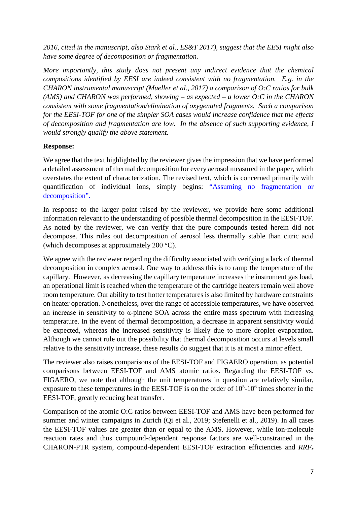*2016, cited in the manuscript, also Stark et al., ES&T 2017), suggest that the EESI might also have some degree of decomposition or fragmentation.*

*More importantly, this study does not present any indirect evidence that the chemical compositions identified by EESI are indeed consistent with no fragmentation. E.g. in the CHARON instrumental manuscript (Mueller et al., 2017) a comparison of O:C ratios for bulk (AMS) and CHARON was performed, showing – as expected – a lower O:C in the CHARON consistent with some fragmentation/elimination of oxygenated fragments. Such a comparison for the EESI-TOF for one of the simpler SOA cases would increase confidence that the effects of decomposition and fragmentation are low. In the absence of such supporting evidence, I would strongly qualify the above statement.* 

## **Response:**

We agree that the text highlighted by the reviewer gives the impression that we have performed a detailed assessment of thermal decomposition for every aerosol measured in the paper, which overstates the extent of characterization. The revised text, which is concerned primarily with quantification of individual ions, simply begins: "Assuming no fragmentation or decomposition".

In response to the larger point raised by the reviewer, we provide here some additional information relevant to the understanding of possible thermal decomposition in the EESI-TOF. As noted by the reviewer, we can verify that the pure compounds tested herein did not decompose. This rules out decomposition of aerosol less thermally stable than citric acid (which decomposes at approximately 200 °C).

We agree with the reviewer regarding the difficulty associated with verifying a lack of thermal decomposition in complex aerosol. One way to address this is to ramp the temperature of the capillary. However, as decreasing the capillary temperature increases the instrument gas load, an operational limit is reached when the temperature of the cartridge heaters remain well above room temperature. Our ability to test hotter temperatures is also limited by hardware constraints on heater operation. Nonetheless, over the range of accessible temperatures, we have observed an increase in sensitivity to  $\alpha$ -pinene SOA across the entire mass spectrum with increasing temperature. In the event of thermal decomposition, a decrease in apparent sensitivity would be expected, whereas the increased sensitivity is likely due to more droplet evaporation. Although we cannot rule out the possibility that thermal decomposition occurs at levels small relative to the sensitivity increase, these results do suggest that it is at most a minor effect.

The reviewer also raises comparisons of the EESI-TOF and FIGAERO operation, as potential comparisons between EESI-TOF and AMS atomic ratios. Regarding the EESI-TOF vs. FIGAERO, we note that although the unit temperatures in question are relatively similar, exposure to these temperatures in the EESI-TOF is on the order of  $10<sup>5</sup>$ -10<sup>6</sup> times shorter in the EESI-TOF, greatly reducing heat transfer.

Comparison of the atomic O:C ratios between EESI-TOF and AMS have been performed for summer and winter campaigns in Zurich (Qi et al., 2019; Stefenelli et al., 2019). In all cases the EESI-TOF values are greater than or equal to the AMS. However, while ion-molecule reaction rates and thus compound-dependent response factors are well-constrained in the CHARON-PTR system, compound-dependent EESI-TOF extraction efficiencies and *RRFx*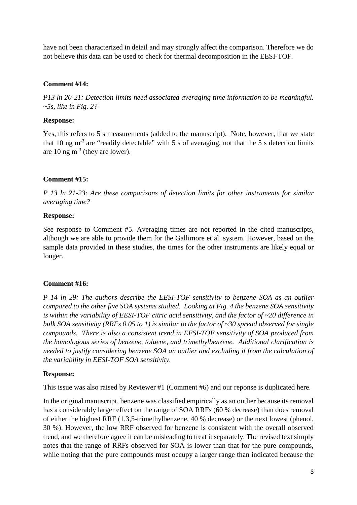have not been characterized in detail and may strongly affect the comparison. Therefore we do not believe this data can be used to check for thermal decomposition in the EESI-TOF.

## **Comment #14:**

*P13 ln 20-21: Detection limits need associated averaging time information to be meaningful. ~5s, like in Fig. 2?*

#### **Response:**

Yes, this refers to 5 s measurements (added to the manuscript). Note, however, that we state that 10 ng  $m<sup>-3</sup>$  are "readily detectable" with 5 s of averaging, not that the 5 s detection limits are  $10 \text{ ng m}^3$  (they are lower).

#### **Comment #15:**

*P 13 ln 21-23: Are these comparisons of detection limits for other instruments for similar averaging time?*

#### **Response:**

See response to Comment #5. Averaging times are not reported in the cited manuscripts, although we are able to provide them for the Gallimore et al. system. However, based on the sample data provided in these studies, the times for the other instruments are likely equal or longer.

## **Comment #16:**

*P 14 ln 29: The authors describe the EESI-TOF sensitivity to benzene SOA as an outlier compared to the other five SOA systems studied. Looking at Fig. 4 the benzene SOA sensitivity is within the variability of EESI-TOF citric acid sensitivity, and the factor of ~20 difference in bulk SOA sensitivity (RRFs 0.05 to 1) is similar to the factor of ~30 spread observed for single compounds. There is also a consistent trend in EESI-TOF sensitivity of SOA produced from the homologous series of benzene, toluene, and trimethylbenzene. Additional clarification is needed to justify considering benzene SOA an outlier and excluding it from the calculation of the variability in EESI-TOF SOA sensitivity.*

## **Response:**

This issue was also raised by Reviewer #1 (Comment #6) and our reponse is duplicated here.

In the original manuscript, benzene was classified empirically as an outlier because its removal has a considerably larger effect on the range of SOA RRFs (60 % decrease) than does removal of either the highest RRF (1,3,5-trimethylbenzene, 40 % decrease) or the next lowest (phenol, 30 %). However, the low RRF observed for benzene is consistent with the overall observed trend, and we therefore agree it can be misleading to treat it separately. The revised text simply notes that the range of RRFs observed for SOA is lower than that for the pure compounds, while noting that the pure compounds must occupy a larger range than indicated because the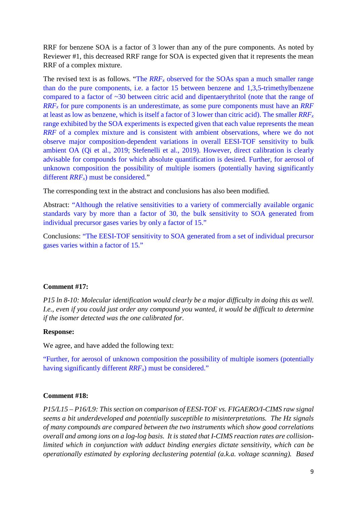RRF for benzene SOA is a factor of 3 lower than any of the pure components. As noted by Reviewer #1, this decreased RRF range for SOA is expected given that it represents the mean RRF of a complex mixture.

The revised text is as follows. "The *RRF<sub>x</sub>* observed for the SOAs span a much smaller range than do the pure components, i.e. a factor 15 between benzene and 1,3,5-trimethylbenzene compared to a factor of ~30 between citric acid and dipentaerythritol (note that the range of *RRFx* for pure components is an underestimate, as some pure components must have an *RRF* at least as low as benzene, which is itself a factor of 3 lower than citric acid). The smaller *RRFx* range exhibited by the SOA experiments is expected given that each value represents the mean *RRF* of a complex mixture and is consistent with ambient observations, where we do not observe major composition-dependent variations in overall EESI-TOF sensitivity to bulk ambient OA (Qi et al., 2019; Stefenelli et al., 2019). However, direct calibration is clearly advisable for compounds for which absolute quantification is desired. Further, for aerosol of unknown composition the possibility of multiple isomers (potentially having significantly different *RRFx*) must be considered."

The corresponding text in the abstract and conclusions has also been modified.

Abstract: "Although the relative sensitivities to a variety of commercially available organic standards vary by more than a factor of 30, the bulk sensitivity to SOA generated from individual precursor gases varies by only a factor of 15."

Conclusions: "The EESI-TOF sensitivity to SOA generated from a set of individual precursor gases varies within a factor of 15."

## **Comment #17:**

*P15 ln 8-10: Molecular identification would clearly be a major difficulty in doing this as well. I.e., even if you could just order any compound you wanted, it would be difficult to determine if the isomer detected was the one calibrated for.*

#### **Response:**

We agree, and have added the following text:

"Further, for aerosol of unknown composition the possibility of multiple isomers (potentially having significantly different *RRFx*) must be considered."

#### **Comment #18:**

*P15/L15 – P16/L9: This section on comparison of EESI-TOF vs. FIGAERO/I-CIMS raw signal seems a bit underdeveloped and potentially susceptible to misinterpretations. The Hz signals of many compounds are compared between the two instruments which show good correlations overall and among ions on a log-log basis. It is stated that I-CIMS reaction rates are collisionlimited which in conjunction with adduct binding energies dictate sensitivity, which can be operationally estimated by exploring declustering potential (a.k.a. voltage scanning). Based*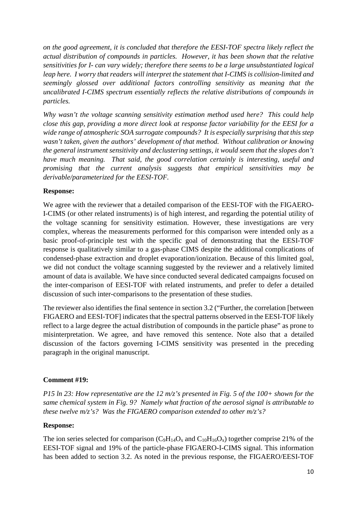*on the good agreement, it is concluded that therefore the EESI-TOF spectra likely reflect the actual distribution of compounds in particles. However, it has been shown that the relative sensitivities for I- can vary widely; therefore there seems to be a large unsubstantiated logical leap here. I worry that readers will interpret the statement that I-CIMS is collision-limited and seemingly glossed over additional factors controlling sensitivity as meaning that the uncalibrated I-CIMS spectrum essentially reflects the relative distributions of compounds in particles.*

*Why wasn't the voltage scanning sensitivity estimation method used here? This could help close this gap, providing a more direct look at response factor variability for the EESI for a wide range of atmospheric SOA surrogate compounds? It is especially surprising that this step wasn't taken, given the authors' development of that method. Without calibration or knowing the general instrument sensitivity and declustering settings, it would seem that the slopes don't have much meaning. That said, the good correlation certainly is interesting, useful and promising that the current analysis suggests that empirical sensitivities may be derivable/parameterized for the EESI-TOF.*

## **Response:**

We agree with the reviewer that a detailed comparison of the EESI-TOF with the FIGAERO-I-CIMS (or other related instruments) is of high interest, and regarding the potential utility of the voltage scanning for sensitivity estimation. However, these investigations are very complex, whereas the measurements performed for this comparison were intended only as a basic proof-of-principle test with the specific goal of demonstrating that the EESI-TOF response is qualitatively similar to a gas-phase CIMS despite the additional complications of condensed-phase extraction and droplet evaporation/ionization. Because of this limited goal, we did not conduct the voltage scanning suggested by the reviewer and a relatively limited amount of data is available. We have since conducted several dedicated campaigns focused on the inter-comparison of EESI-TOF with related instruments, and prefer to defer a detailed discussion of such inter-comparisons to the presentation of these studies.

The reviewer also identifies the final sentence in section 3.2 ("Further, the correlation [between FIGAERO and EESI-TOF] indicates that the spectral patterns observed in the EESI-TOF likely reflect to a large degree the actual distribution of compounds in the particle phase" as prone to misinterpretation. We agree, and have removed this sentence. Note also that a detailed discussion of the factors governing I-CIMS sensitivity was presented in the preceding paragraph in the original manuscript.

#### **Comment #19:**

*P15 ln 23: How representative are the 12 m/z's presented in Fig. 5 of the 100+ shown for the same chemical system in Fig. 9? Namely what fraction of the aerosol signal is attributable to these twelve m/z's? Was the FIGAERO comparison extended to other m/z's?*

## **Response:**

The ion series selected for comparison  $(C_9H_{14}O_x$  and  $C_{10}H_{16}O_x$ ) together comprise 21% of the EESI-TOF signal and 19% of the particle-phase FIGAERO-I-CIMS signal. This information has been added to section 3.2. As noted in the previous response, the FIGAERO/EESI-TOF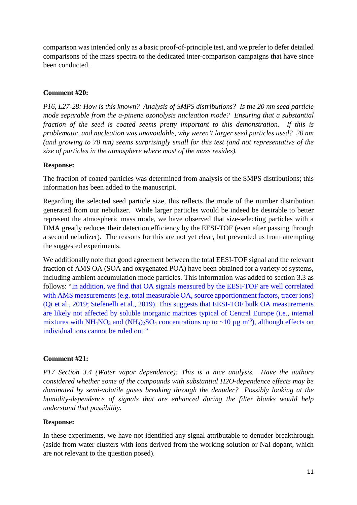comparison was intended only as a basic proof-of-principle test, and we prefer to defer detailed comparisons of the mass spectra to the dedicated inter-comparison campaigns that have since been conducted.

# **Comment #20:**

*P16, L27-28: How is this known? Analysis of SMPS distributions? Is the 20 nm seed particle mode separable from the a-pinene ozonolysis nucleation mode? Ensuring that a substantial fraction of the seed is coated seems pretty important to this demonstration. If this is problematic, and nucleation was unavoidable, why weren't larger seed particles used? 20 nm (and growing to 70 nm) seems surprisingly small for this test (and not representative of the size of particles in the atmosphere where most of the mass resides).*

# **Response:**

The fraction of coated particles was determined from analysis of the SMPS distributions; this information has been added to the manuscript.

Regarding the selected seed particle size, this reflects the mode of the number distribution generated from our nebulizer. While larger particles would be indeed be desirable to better represent the atmospheric mass mode, we have observed that size-selecting particles with a DMA greatly reduces their detection efficiency by the EESI-TOF (even after passing through a second nebulizer). The reasons for this are not yet clear, but prevented us from attempting the suggested experiments.

We additionally note that good agreement between the total EESI-TOF signal and the relevant fraction of AMS OA (SOA and oxygenated POA) have been obtained for a variety of systems, including ambient accumulation mode particles. This information was added to section 3.3 as follows: "In addition, we find that OA signals measured by the EESI-TOF are well correlated with AMS measurements (e.g. total measurable OA, source apportionment factors, tracer ions) (Qi et al., 2019; Stefenelli et al., 2019). This suggests that EESI-TOF bulk OA measurements are likely not affected by soluble inorganic matrices typical of Central Europe (i.e., internal mixtures with NH<sub>4</sub>NO<sub>3</sub> and (NH<sub>4</sub>)<sub>2</sub>SO<sub>4</sub> concentrations up to ~10  $\mu$ g m<sup>-3</sup>), although effects on individual ions cannot be ruled out."

## **Comment #21:**

*P17 Section 3.4 (Water vapor dependence): This is a nice analysis. Have the authors considered whether some of the compounds with substantial H2O-dependence effects may be dominated by semi-volatile gases breaking through the denuder? Possibly looking at the humidity-dependence of signals that are enhanced during the filter blanks would help understand that possibility.*

## **Response:**

In these experiments, we have not identified any signal attributable to denuder breakthrough (aside from water clusters with ions derived from the working solution or NaI dopant, which are not relevant to the question posed).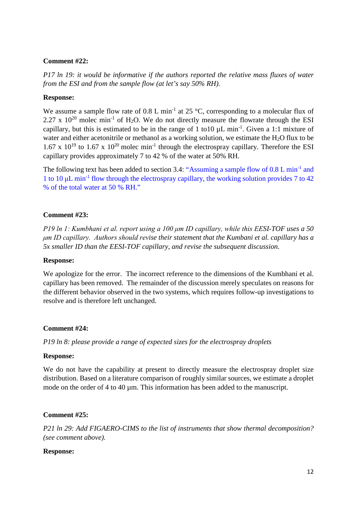## **Comment #22:**

*P17 ln 19: it would be informative if the authors reported the relative mass fluxes of water from the ESI and from the sample flow (at let's say 50% RH).*

## **Response:**

We assume a sample flow rate of 0.8 L min<sup>-1</sup> at 25 °C, corresponding to a molecular flux of 2.27 x  $10^{20}$  molec min<sup>-1</sup> of H<sub>2</sub>O. We do not directly measure the flowrate through the ESI capillary, but this is estimated to be in the range of 1 to 10  $\mu$ L min<sup>-1</sup>. Given a 1:1 mixture of water and either acetonitrile or methanol as a working solution, we estimate the  $H_2O$  flux to be 1.67 x  $10^{19}$  to 1.67 x  $10^{20}$  molec min<sup>-1</sup> through the electrospray capillary. Therefore the ESI capillary provides approximately 7 to 42 % of the water at 50% RH.

The following text has been added to section 3.4: "Assuming a sample flow of 0.8 L min<sup>-1</sup> and 1 to 10 μL min-1 flow through the electrospray capillary, the working solution provides 7 to 42 % of the total water at 50 % RH."

## **Comment #23:**

*P19 ln 1: Kumbhani et al. report using a 100 μm ID capillary, while this EESI-TOF uses a 50 μm ID capillary. Authors should revise their statement that the Kumbani et al. capillary has a 5x smaller ID than the EESI-TOF capillary, and revise the subsequent discussion.*

## **Response:**

We apologize for the error. The incorrect reference to the dimensions of the Kumbhani et al. capillary has been removed. The remainder of the discussion merely speculates on reasons for the different behavior observed in the two systems, which requires follow-up investigations to resolve and is therefore left unchanged.

## **Comment #24:**

*P19 ln 8: please provide a range of expected sizes for the electrospray droplets*

#### **Response:**

We do not have the capability at present to directly measure the electrospray droplet size distribution. Based on a literature comparison of roughly similar sources, we estimate a droplet mode on the order of 4 to 40  $\mu$ m. This information has been added to the manuscript.

## **Comment #25:**

*P21 ln 29: Add FIGAERO-CIMS to the list of instruments that show thermal decomposition? (see comment above).*

## **Response:**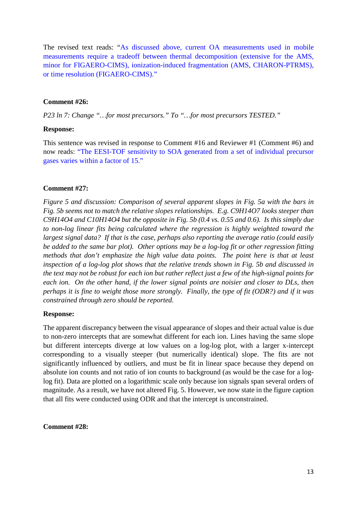The revised text reads: "As discussed above, current OA measurements used in mobile measurements require a tradeoff between thermal decomposition (extensive for the AMS, minor for FIGAERO-CIMS), ionization-induced fragmentation (AMS, CHARON-PTRMS), or time resolution (FIGAERO-CIMS)."

#### **Comment #26:**

*P23 ln 7: Change "…for most precursors." To "…for most precursors TESTED."*

#### **Response:**

This sentence was revised in response to Comment #16 and Reviewer #1 (Comment #6) and now reads: "The EESI-TOF sensitivity to SOA generated from a set of individual precursor gases varies within a factor of 15."

#### **Comment #27:**

*Figure 5 and discussion: Comparison of several apparent slopes in Fig. 5a with the bars in Fig. 5b seems not to match the relative slopes relationships. E.g. C9H14O7 looks steeper than C9H14O4 and C10H14O4 but the opposite in Fig. 5b (0.4 vs. 0.55 and 0.6). Is this simply due to non-log linear fits being calculated where the regression is highly weighted toward the largest signal data? If that is the case, perhaps also reporting the average ratio (could easily be added to the same bar plot). Other options may be a log-log fit or other regression fitting methods that don't emphasize the high value data points. The point here is that at least inspection of a log-log plot shows that the relative trends shown in Fig. 5b and discussed in the text may not be robust for each ion but rather reflect just a few of the high-signal points for each ion. On the other hand, if the lower signal points are noisier and closer to DLs, then perhaps it is fine to weight those more strongly. Finally, the type of fit (ODR?) and if it was constrained through zero should be reported.*

#### **Response:**

The apparent discrepancy between the visual appearance of slopes and their actual value is due to non-zero intercepts that are somewhat different for each ion. Lines having the same slope but different intercepts diverge at low values on a log-log plot, with a larger x-intercept corresponding to a visually steeper (but numerically identical) slope. The fits are not significantly influenced by outliers, and must be fit in linear space because they depend on absolute ion counts and not ratio of ion counts to background (as would be the case for a loglog fit). Data are plotted on a logarithmic scale only because ion signals span several orders of magnitude. As a result, we have not altered Fig. 5. However, we now state in the figure caption that all fits were conducted using ODR and that the intercept is unconstrained.

#### **Comment #28:**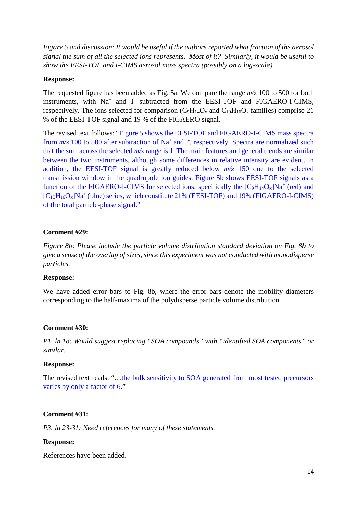*Figure 5 and discussion: It would be useful if the authors reported what fraction of the aerosol signal the sum of all the selected ions represents. Most of it? Similarly, it would be useful to show the EESI-TOF and I-CIMS aerosol mass spectra (possibly on a log-scale).*

#### **Response:**

The requested figure has been added as Fig. 5a. We compare the range *m/z* 100 to 500 for both instruments, with  $Na<sup>+</sup>$  and  $I<sup>-</sup>$  subtracted from the EESI-TOF and FIGAERO-I-CIMS, respectively. The ions selected for comparison  $(C_9H_{14}O_x$  and  $C_{10}H_{16}O_x$  families) comprise 21 % of the EESI-TOF signal and 19 % of the FIGAERO signal.

The revised text follows: "Figure 5 shows the EESI-TOF and FIGAERO-I-CIMS mass spectra from  $m/z$  100 to 500 after subtraction of Na<sup>+</sup> and I<sup>-</sup>, respectively. Spectra are normalized such that the sum across the selected  $m/z$  range is 1. The main features and general trends are similar between the two instruments, although some differences in relative intensity are evident. In addition, the EESI-TOF signal is greatly reduced below *m/z* 150 due to the selected transmission window in the quadrupole ion guides. Figure 5b shows EESI-TOF signals as a function of the FIGAERO-I-CIMS for selected ions, specifically the  $[C_9H_{14}O_x]Na^+$  (red) and  $[C_{10}H_{16}O_x]Na^+$  (blue) series, which constitute 21% (EESI-TOF) and 19% (FIGAERO-I-CIMS) of the total particle-phase signal."

#### **Comment #29:**

*Figure 8b: Please include the particle volume distribution standard deviation on Fig. 8b to give a sense of the overlap of sizes, since this experiment was not conducted with monodisperse particles.*

#### **Response:**

We have added error bars to Fig. 8b, where the error bars denote the mobility diameters corresponding to the half-maxima of the polydisperse particle volume distribution.

#### **Comment #30:**

*P1, ln 18: Would suggest replacing "SOA compounds" with "identified SOA components" or similar.*

#### **Response:**

The revised text reads: "…the bulk sensitivity to SOA generated from most tested precursors varies by only a factor of 6."

#### **Comment #31:**

*P3, ln 23-31: Need references for many of these statements.*

## **Response:**

References have been added.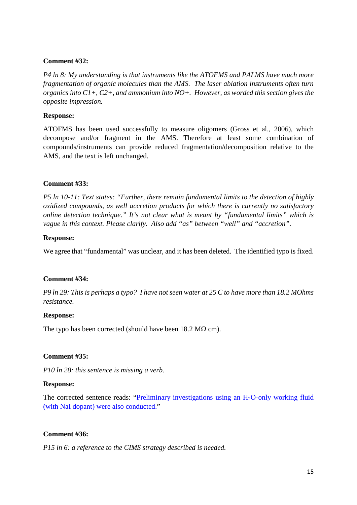#### **Comment #32:**

*P4 ln 8: My understanding is that instruments like the ATOFMS and PALMS have much more fragmentation of organic molecules than the AMS. The laser ablation instruments often turn organics into C1+, C2+, and ammonium into NO+. However, as worded this section gives the opposite impression.*

#### **Response:**

ATOFMS has been used successfully to measure oligomers (Gross et al., 2006), which decompose and/or fragment in the AMS. Therefore at least some combination of compounds/instruments can provide reduced fragmentation/decomposition relative to the AMS, and the text is left unchanged.

#### **Comment #33:**

*P5 ln 10-11: Text states: "Further, there remain fundamental limits to the detection of highly oxidized compounds, as well accretion products for which there is currently no satisfactory online detection technique." It's not clear what is meant by "fundamental limits" which is vague in this context. Please clarify. Also add "as" between "well" and "accretion".*

#### **Response:**

We agree that "fundamental" was unclear, and it has been deleted. The identified typo is fixed.

## **Comment #34:**

*P9 ln 29: This is perhaps a typo? I have not seen water at 25 C to have more than 18.2 MOhms resistance.*

## **Response:**

The typo has been corrected (should have been  $18.2 \text{ M}\Omega \text{ cm}$ ).

## **Comment #35:**

*P10 ln 28: this sentence is missing a verb.*

#### **Response:**

The corrected sentence reads: "Preliminary investigations using an  $H_2O$ -only working fluid (with NaI dopant) were also conducted."

#### **Comment #36:**

*P15 ln 6: a reference to the CIMS strategy described is needed.*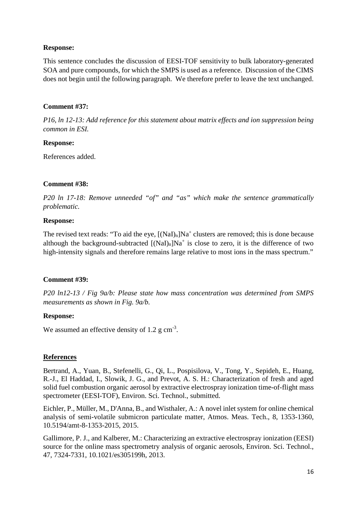# **Response:**

This sentence concludes the discussion of EESI-TOF sensitivity to bulk laboratory-generated SOA and pure compounds, for which the SMPS is used as a reference. Discussion of the CIMS does not begin until the following paragraph. We therefore prefer to leave the text unchanged.

# **Comment #37:**

*P16, ln 12-13: Add reference for this statement about matrix effects and ion suppression being common in ESI.*

## **Response:**

References added.

# **Comment #38:**

*P20 ln 17-18: Remove unneeded "of" and "as" which make the sentence grammatically problematic.*

## **Response:**

The revised text reads: "To aid the eye,  $[(NaI)_n]Na^+$  clusters are removed; this is done because although the background-subtracted  $[(NaI)_n]Na^+$  is close to zero, it is the difference of two high-intensity signals and therefore remains large relative to most ions in the mass spectrum."

# **Comment #39:**

*P20 ln12-13 / Fig 9a/b: Please state how mass concentration was determined from SMPS measurements as shown in Fig. 9a/b.*

## **Response:**

We assumed an effective density of  $1.2$  g cm<sup>-3</sup>.

# **References**

Bertrand, A., Yuan, B., Stefenelli, G., Qi, L., Pospisilova, V., Tong, Y., Sepideh, E., Huang, R.-J., El Haddad, I., Slowik, J. G., and Prevot, A. S. H.: Characterization of fresh and aged solid fuel combustion organic aerosol by extractive electrospray ionization time-of-flight mass spectrometer (EESI-TOF), Environ. Sci. Technol., submitted.

Eichler, P., Müller, M., D'Anna, B., and Wisthaler, A.: A novel inlet system for online chemical analysis of semi-volatile submicron particulate matter, Atmos. Meas. Tech., 8, 1353-1360, 10.5194/amt-8-1353-2015, 2015.

Gallimore, P. J., and Kalberer, M.: Characterizing an extractive electrospray ionization (EESI) source for the online mass spectrometry analysis of organic aerosols, Environ. Sci. Technol., 47, 7324-7331, 10.1021/es305199h, 2013.